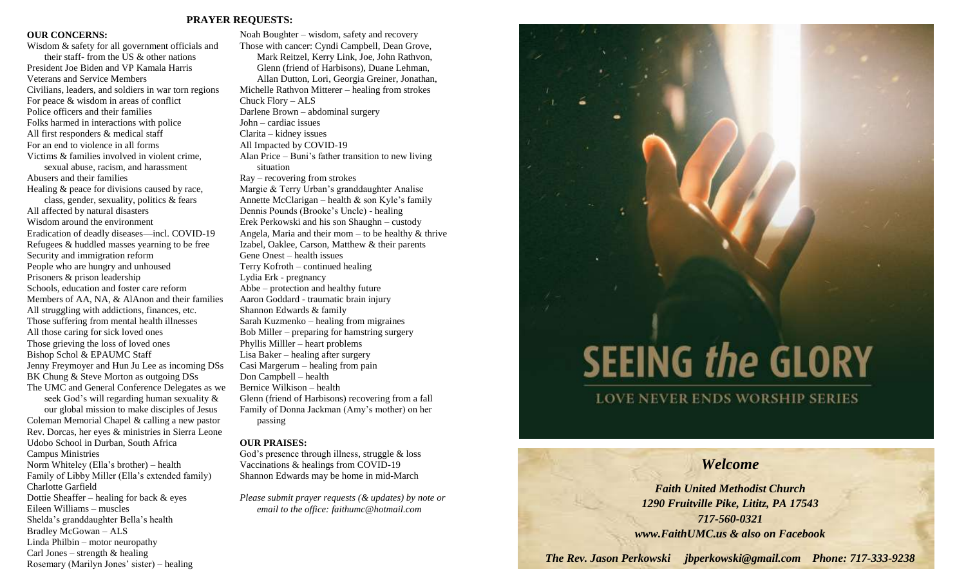# **PRAYER REQUESTS:**

# **OUR CONCERNS:**

Wisdom & safety for all government officials and their staff- from the US & other nations President Joe Biden and VP Kamala Harris Veterans and Service Members Civilians, leaders, and soldiers in war torn regions For peace & wisdom in areas of conflict Police officers and their families Folks harmed in interactions with police All first responders & medical staff For an end to violence in all forms Victims & families involved in violent crime, sexual abuse, racism, and harassment Abusers and their families Healing & peace for divisions caused by race, class, gender, sexuality, politics & fears All affected by natural disasters Wisdom around the environment Eradication of deadly diseases—incl. COVID-19 Refugees & huddled masses yearning to be free Security and immigration reform People who are hungry and unhoused Prisoners & prison leadership Schools, education and foster care reform Members of AA, NA, & AlAnon and their families All struggling with addictions, finances, etc. Those suffering from mental health illnesses All those caring for sick loved ones Those grieving the loss of loved ones Bishop Schol & EPAUMC Staff Jenny Freymoyer and Hun Ju Lee as incoming DSs BK Chung & Steve Morton as outgoing DSs The UMC and General Conference Delegates as we seek God's will regarding human sexuality & our global mission to make disciples of Jesus Coleman Memorial Chapel & calling a new pastor Rev. Dorcas, her eyes & ministries in Sierra Leone Udobo School in Durban, South Africa Campus Ministries Norm Whiteley (Ella's brother) – health Family of Libby Miller (Ella's extended family) Charlotte Garfield Dottie Sheaffer – healing for back & eyes Eileen Williams – muscles Shelda's granddaughter Bella's health Bradley McGowan – ALS

Linda Philbin – motor neuropathy Carl Jones – strength  $&$  healing

Rosemary (Marilyn Jones' sister) – healing

Noah Boughter – wisdom, safety and recovery Those with cancer: Cyndi Campbell, Dean Grove, Mark Reitzel, Kerry Link, Joe, John Rathvon, Glenn (friend of Harbisons), Duane Lehman, Allan Dutton, Lori, Georgia Greiner, Jonathan, Michelle Rathvon Mitterer – healing from strokes Chuck Flory – ALS Darlene Brown – abdominal surgery John – cardiac issues Clarita – kidney issues All Impacted by COVID-19 Alan Price – Buni's father transition to new living situation Ray – recovering from strokes Margie & Terry Urban's granddaughter Analise Annette McClarigan – health & son Kyle's family Dennis Pounds (Brooke's Uncle) - healing Erek Perkowski and his son Shaughn – custody Angela, Maria and their mom – to be healthy  $&$  thrive Izabel, Oaklee, Carson, Matthew & their parents Gene Onest – health issues Terry Kofroth – continued healing Lydia Erk - pregnancy Abbe – protection and healthy future Aaron Goddard - traumatic brain injury Shannon Edwards & family Sarah Kuzmenko – healing from migraines Bob Miller – preparing for hamstring surgery Phyllis Milller – heart problems Lisa Baker – healing after surgery Casi Margerum – healing from pain Don Campbell – health Bernice Wilkison – health Glenn (friend of Harbisons) recovering from a fall Family of Donna Jackman (Amy's mother) on her passing

## **OUR PRAISES:**

God's presence through illness, struggle & loss Vaccinations & healings from COVID-19 Shannon Edwards may be home in mid-March

*Please submit prayer requests (& updates) by note or email to the office: faithumc@hotmail.com*

# **SEEING the GLORY**

**LOVE NEVER ENDS WORSHIP SERIES** 

# *Welcome*

*Faith United Methodist Church 1290 Fruitville Pike, Lititz, PA 17543 717-560-0321 www.FaithUMC.us & also on Facebook*

*The Rev. Jason Perkowski jbperkowski@gmail.com Phone: 717-333-9238*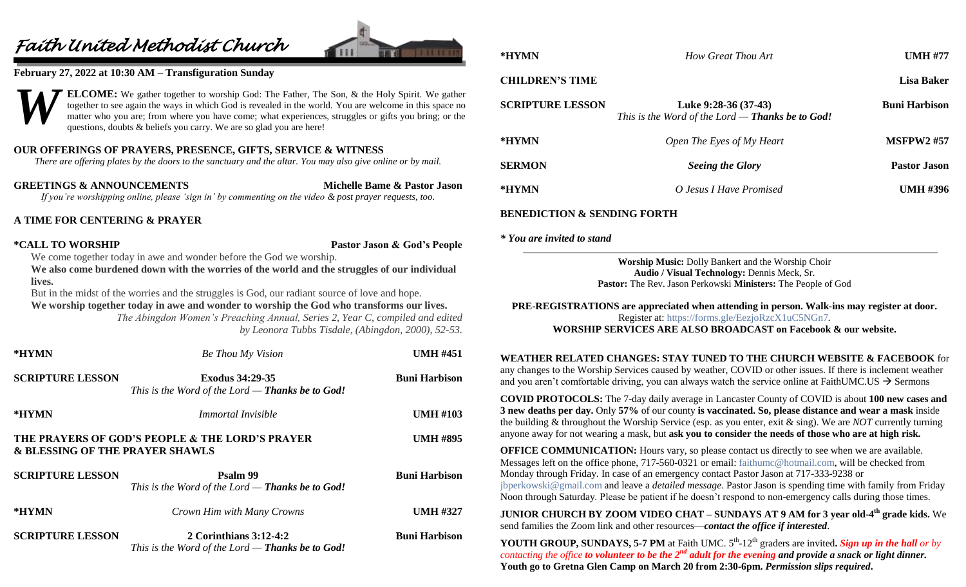# *Faith United Methodist Church*



# **February 27, 2022 at 10:30 AM – Transfiguration Sunday**



# **OUR OFFERINGS OF PRAYERS, PRESENCE, GIFTS, SERVICE & WITNESS**

*There are offering plates by the doors to the sanctuary and the altar. You may also give online or by mail.*

**GREETINGS & ANNOUNCEMENTS Michelle Bame & Pastor Jason** *If you're worshipping online, please 'sign in' by commenting on the video & post prayer requests, too.*

# **A TIME FOR CENTERING & PRAYER**

**\*CALL TO WORSHIP Pastor Jason & God's People**

We come together today in awe and wonder before the God we worship.

**We also come burdened down with the worries of the world and the struggles of our individual lives.**

But in the midst of the worries and the struggles is God, our radiant source of love and hope. **We worship together today in awe and wonder to worship the God who transforms our lives.**

*The Abingdon Women's Preaching Annual, Series 2, Year C, compiled and edited by Leonora Tubbs Tisdale, (Abingdon, 2000), 52-53.*

| *HYMN                           | Be Thou My Vision                                                                 | <b>UMH #451</b>      |
|---------------------------------|-----------------------------------------------------------------------------------|----------------------|
| <b>SCRIPTURE LESSON</b>         | <b>Exodus 34:29-35</b><br>This is the Word of the Lord — <b>Thanks be to God!</b> | <b>Buni Harbison</b> |
| *HYMN                           | <i>Immortal Invisible</i>                                                         | <b>UMH #103</b>      |
| & BLESSING OF THE PRAYER SHAWLS | THE PRAYERS OF GOD'S PEOPLE & THE LORD'S PRAYER                                   | <b>UMH #895</b>      |
| <b>SCRIPTURE LESSON</b>         | Psalm 99<br>This is the Word of the Lord — <b>Thanks be to God!</b>               | <b>Buni Harbison</b> |
| *HYMN                           | Crown Him with Many Crowns                                                        | <b>UMH #327</b>      |
| <b>SCRIPTURE LESSON</b>         | 2 Corinthians $3:12-4:2$<br>This is the Word of the Lord $-$ Thanks be to God!    | <b>Buni Harbison</b> |

# **CHILDREN'S TIME Lisa Baker SCRIPTURE LESSON Luke 9:28-36 (37-43) Buni Harbison** *This is the Word of the Lord — Thanks be to God!*

| *HYMN         | Open The Eyes of My Heart | <b>MSFPW2 #57</b>   |
|---------------|---------------------------|---------------------|
| <b>SERMON</b> | <b>Seeing the Glory</b>   | <b>Pastor Jason</b> |
| *HYMN         | O Jesus I Have Promised   | <b>UMH #396</b>     |

**\*HYMN** *How Great Thou Art* **UMH #77**

# **BENEDICTION & SENDING FORTH**

*\* You are invited to stand*

**Worship Music:** Dolly Bankert and the Worship Choir **Audio / Visual Technology:** Dennis Meck, Sr. **Pastor:** The Rev. Jason Perkowski **Ministers:** The People of God

**PRE-REGISTRATIONS are appreciated when attending in person. Walk-ins may register at door.**  Register at:<https://forms.gle/EezjoRzcX1uC5NGn7>*.* **WORSHIP SERVICES ARE ALSO BROADCAST on Facebook & our website.**

# **WEATHER RELATED CHANGES: STAY TUNED TO THE CHURCH WEBSITE & FACEBOOK** for

any changes to the Worship Services caused by weather, COVID or other issues. If there is inclement weather and you aren't comfortable driving, you can always watch the service online at FaithUMC.US  $\rightarrow$  Sermons

**COVID PROTOCOLS:** The 7-day daily average in Lancaster County of COVID is about **100 new cases and 3 new deaths per day.** Only **57%** of our county **is vaccinated. So, please distance and wear a mask** inside the building & throughout the Worship Service (esp. as you enter, exit & sing). We are *NOT* currently turning anyone away for not wearing a mask, but **ask you to consider the needs of those who are at high risk.**

**OFFICE COMMUNICATION:** Hours vary, so please contact us directly to see when we are available. Messages left on the office phone, 717-560-0321 or email: [faithumc@hotmail.com,](mailto:faithumc@hotmail.com) will be checked from Monday through Friday. In case of an emergency contact Pastor Jason at 717-333-9238 or [jbperkowski@gmail.com](mailto:jbperkowski@gmail.com) and leave a *detailed message*. Pastor Jason is spending time with family from Friday Noon through Saturday. Please be patient if he doesn't respond to non-emergency calls during those times.

**JUNIOR CHURCH BY ZOOM VIDEO CHAT – SUNDAYS AT 9 AM for 3 year old-4 th grade kids.** We send families the Zoom link and other resources—*contact the office if interested*.

**YOUTH GROUP, SUNDAYS, 5-7 PM** at Faith UMC.  $5<sup>th</sup>$ -12<sup>th</sup> graders are invited. Sign up in the hall or by *contacting the office to volunteer to be the 2nd adult for the evening and provide a snack or light dinner.* **Youth go to Gretna Glen Camp on March 20 from 2:30-6pm.** *Permission slips required***.**